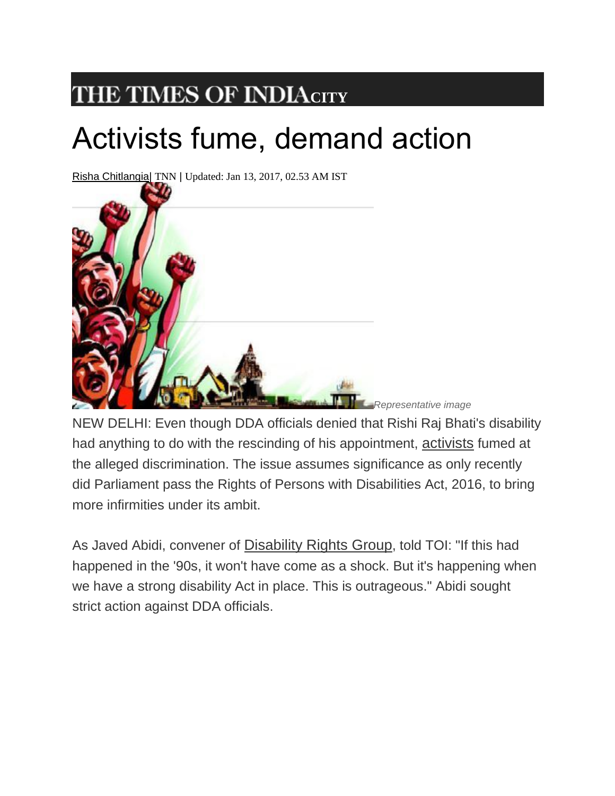## **THE TIMES OF INDIA[C](http://timesofindia.indiatimes.com/)ITY**

## Activists fume, demand action

Risha [Chitlangia|](http://timesofindia.indiatimes.com/toireporter/author-Risha-Chitlangia-479191727.cms) TNN | Updated: Jan 13, 2017, 02.53 AM IST



NEW DELHI: Even though DDA officials denied that Rishi Raj Bhati's disability had anything to do with the rescinding of his appointment, [activists](http://timesofindia.indiatimes.com/topic/activists) fumed at the alleged discrimination. The issue assumes significance as only recently did Parliament pass the Rights of Persons with Disabilities Act, 2016, to bring more infirmities under its ambit.

As Javed Abidi, convener of [Disability Rights Group](http://timesofindia.indiatimes.com/topic/Disability-Rights-Group), told TOI: "If this had happened in the '90s, it won't have come as a shock. But it's happening when we have a strong disability Act in place. This is outrageous." Abidi sought strict action against DDA officials.